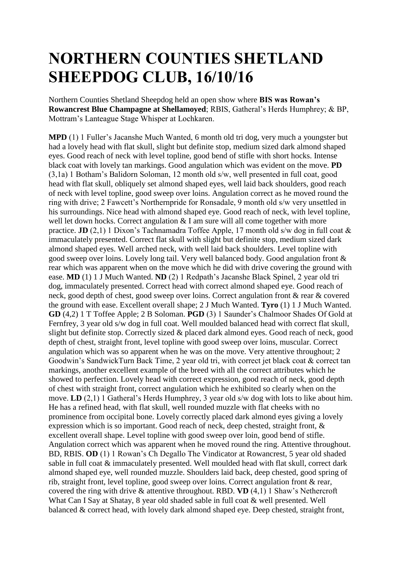## **NORTHERN COUNTIES SHETLAND SHEEPDOG CLUB, 16/10/16**

Northern Counties Shetland Sheepdog held an open show where **BIS was Rowan's Rowancrest Blue Champagne at Shellamoyed**; RBIS, Gatheral's Herds Humphrey; & BP, Mottram's Lanteague Stage Whisper at Lochkaren.

**MPD** (1) 1 Fuller's Jacanshe Much Wanted, 6 month old tri dog, very much a youngster but had a lovely head with flat skull, slight but definite stop, medium sized dark almond shaped eyes. Good reach of neck with level topline, good bend of stifle with short hocks. Intense black coat with lovely tan markings. Good angulation which was evident on the move. **PD** (3,1a) 1 Botham's Balidorn Soloman, 12 month old s/w, well presented in full coat, good head with flat skull, obliquely set almond shaped eyes, well laid back shoulders, good reach of neck with level topline, good sweep over loins. Angulation correct as he moved round the ring with drive; 2 Fawcett's Northernpride for Ronsadale, 9 month old s/w very unsettled in his surroundings. Nice head with almond shaped eye. Good reach of neck, with level topline, well let down hocks. Correct angulation & I am sure will all come together with more practice. **JD** (2,1) 1 Dixon's Tachnamadra Toffee Apple, 17 month old s/w dog in full coat  $\&$ immaculately presented. Correct flat skull with slight but definite stop, medium sized dark almond shaped eyes. Well arched neck, with well laid back shoulders. Level topline with good sweep over loins. Lovely long tail. Very well balanced body. Good angulation front & rear which was apparent when on the move which he did with drive covering the ground with ease. **MD** (1) 1 J Much Wanted. **ND** (2) 1 Redpath's Jacanshe Black Spinel, 2 year old tri dog, immaculately presented. Correct head with correct almond shaped eye. Good reach of neck, good depth of chest, good sweep over loins. Correct angulation front & rear & covered the ground with ease. Excellent overall shape; 2 J Much Wanted. **Tyro** (1) 1 J Much Wanted. **GD** (4,2) 1 T Toffee Apple; 2 B Soloman. **PGD** (3) 1 Saunder's Chalmoor Shades Of Gold at Fernfrey, 3 year old s/w dog in full coat. Well moulded balanced head with correct flat skull, slight but definite stop. Correctly sized & placed dark almond eyes. Good reach of neck, good depth of chest, straight front, level topline with good sweep over loins, muscular. Correct angulation which was so apparent when he was on the move. Very attentive throughout; 2 Goodwin's SandwickTurn Back Time, 2 year old tri, with correct jet black coat & correct tan markings, another excellent example of the breed with all the correct attributes which he showed to perfection. Lovely head with correct expression, good reach of neck, good depth of chest with straight front, correct angulation which he exhibited so clearly when on the move. **LD** (2,1) 1 Gatheral's Herds Humphrey, 3 year old s/w dog with lots to like about him. He has a refined head, with flat skull, well rounded muzzle with flat cheeks with no prominence from occipital bone. Lovely correctly placed dark almond eyes giving a lovely expression which is so important. Good reach of neck, deep chested, straight front, & excellent overall shape. Level topline with good sweep over loin, good bend of stifle. Angulation correct which was apparent when he moved round the ring. Attentive throughout. BD, RBIS. **OD** (1) 1 Rowan's Ch Degallo The Vindicator at Rowancrest, 5 year old shaded sable in full coat & immaculately presented. Well moulded head with flat skull, correct dark almond shaped eye, well rounded muzzle. Shoulders laid back, deep chested, good spring of rib, straight front, level topline, good sweep over loins. Correct angulation front & rear, covered the ring with drive & attentive throughout. RBD. **VD** (4,1) 1 Shaw's Nethercroft What Can I Say at Shatay, 8 year old shaded sable in full coat & well presented. Well balanced & correct head, with lovely dark almond shaped eye. Deep chested, straight front,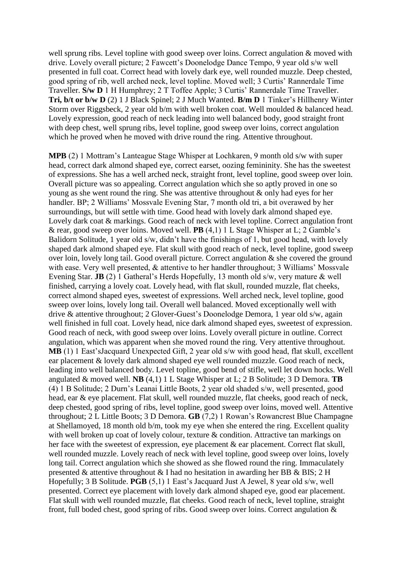well sprung ribs. Level topline with good sweep over loins. Correct angulation & moved with drive. Lovely overall picture; 2 Fawcett's Doonelodge Dance Tempo, 9 year old s/w well presented in full coat. Correct head with lovely dark eye, well rounded muzzle. Deep chested, good spring of rib, well arched neck, level topline. Moved well; 3 Curtis' Rannerdale Time Traveller. **S/w D** 1 H Humphrey; 2 T Toffee Apple; 3 Curtis' Rannerdale Time Traveller. **Tri, b/t or b/w D** (2) 1 J Black Spinel; 2 J Much Wanted. **B/m D** 1 Tinker's Hillhenry Winter Storm over Riggsbeck, 2 year old b/m with well broken coat. Well moulded & balanced head. Lovely expression, good reach of neck leading into well balanced body, good straight front with deep chest, well sprung ribs, level topline, good sweep over loins, correct angulation which he proved when he moved with drive round the ring. Attentive throughout.

**MPB** (2) 1 Mottram's Lanteague Stage Whisper at Lochkaren, 9 month old s/w with super head, correct dark almond shaped eye, correct earset, oozing femininity. She has the sweetest of expressions. She has a well arched neck, straight front, level topline, good sweep over loin. Overall picture was so appealing. Correct angulation which she so aptly proved in one so young as she went round the ring. She was attentive throughout & only had eyes for her handler. BP; 2 Williams' Mossvale Evening Star, 7 month old tri, a bit overawed by her surroundings, but will settle with time. Good head with lovely dark almond shaped eye. Lovely dark coat  $\&$  markings. Good reach of neck with level topline. Correct angulation front & rear, good sweep over loins. Moved well. **PB** (4,1) 1 L Stage Whisper at L; 2 Gamble's Balidorn Solitude, 1 year old s/w, didn't have the finishings of 1, but good head, with lovely shaped dark almond shaped eye. Flat skull with good reach of neck, level topline, good sweep over loin, lovely long tail. Good overall picture. Correct angulation & she covered the ground with ease. Very well presented, & attentive to her handler throughout; 3 Williams' Mossvale Evening Star. **JB** (2) 1 Gatheral's Herds Hopefully, 13 month old s/w, very mature & well finished, carrying a lovely coat. Lovely head, with flat skull, rounded muzzle, flat cheeks, correct almond shaped eyes, sweetest of expressions. Well arched neck, level topline, good sweep over loins, lovely long tail. Overall well balanced. Moved exceptionally well with drive & attentive throughout; 2 Glover-Guest's Doonelodge Demora, 1 year old s/w, again well finished in full coat. Lovely head, nice dark almond shaped eyes, sweetest of expression. Good reach of neck, with good sweep over loins. Lovely overall picture in outline. Correct angulation, which was apparent when she moved round the ring. Very attentive throughout. **MB** (1) 1 East'sJacquard Unexpected Gift, 2 year old s/w with good head, flat skull, excellent ear placement & lovely dark almond shaped eye well rounded muzzle. Good reach of neck, leading into well balanced body. Level topline, good bend of stifle, well let down hocks. Well angulated & moved well. **NB** (4,1) 1 L Stage Whisper at L; 2 B Solitude; 3 D Demora. **TB** (4) 1 B Solitude; 2 Durn's Leanai Little Boots, 2 year old shaded s/w, well presented, good head, ear & eye placement. Flat skull, well rounded muzzle, flat cheeks, good reach of neck, deep chested, good spring of ribs, level topline, good sweep over loins, moved well. Attentive throughout; 2 L Little Boots; 3 D Demora. **GB** (7,2) 1 Rowan's Rowancrest Blue Champagne at Shellamoyed, 18 month old b/m, took my eye when she entered the ring. Excellent quality with well broken up coat of lovely colour, texture & condition. Attractive tan markings on her face with the sweetest of expression, eye placement & ear placement. Correct flat skull, well rounded muzzle. Lovely reach of neck with level topline, good sweep over loins, lovely long tail. Correct angulation which she showed as she flowed round the ring. Immaculately presented & attentive throughout & I had no hesitation in awarding her BB & BIS; 2 H Hopefully; 3 B Solitude. **PGB** (5,1) 1 East's Jacquard Just A Jewel, 8 year old s/w, well presented. Correct eye placement with lovely dark almond shaped eye, good ear placement. Flat skull with well rounded muzzle, flat cheeks. Good reach of neck, level topline, straight front, full boded chest, good spring of ribs. Good sweep over loins. Correct angulation  $\&$